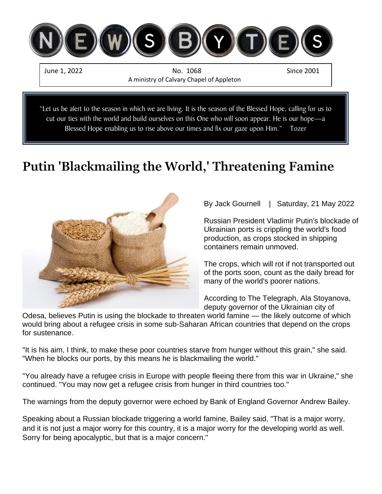

cut our ties with the world and build ourselves on this One who will soon appear. He is our hope—a Blessed Hope enabling us to rise above our times and fix our gaze upon Him." Tozer

# **Putin 'Blackmailing the World,' Threatening Famine**



By Jack Gournell | Saturday, 21 May 2022

Russian President Vladimir Putin's blockade of Ukrainian ports is crippling the world's food production, as crops stocked in shipping containers remain unmoved.

The crops, which will rot if not transported out of the ports soon, count as the daily bread for many of the world's poorer nations.

According to The Telegraph, Ala Stoyanova, deputy governor of the Ukrainian city of

Odesa, believes Putin is using the blockade to threaten world famine — the likely outcome of which would bring about a refugee crisis in some sub-Saharan African countries that depend on the crops for sustenance.

"It is his aim, I think, to make these poor countries starve from hunger without this grain," she said. "When he blocks our ports, by this means he is blackmailing the world."

"You already have a refugee crisis in Europe with people fleeing there from this war in Ukraine," she continued. "You may now get a refugee crisis from hunger in third countries too."

The warnings from the deputy governor were echoed by Bank of England Governor Andrew Bailey.

Speaking about a Russian blockade triggering a world famine, Bailey said, "That is a major worry, and it is not just a major worry for this country, it is a major worry for the developing world as well. Sorry for being apocalyptic, but that is a major concern."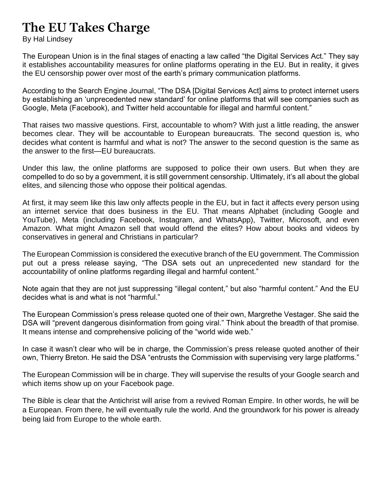## **The EU Takes Charge**

By Hal Lindsey

The European Union is in the final stages of enacting a law called "the Digital Services Act." They say it establishes accountability measures for online platforms operating in the EU. But in reality, it gives the EU censorship power over most of the earth's primary communication platforms.

According to the Search Engine Journal, "The DSA [Digital Services Act] aims to protect internet users by establishing an 'unprecedented new standard' for online platforms that will see companies such as Google, Meta (Facebook), and Twitter held accountable for illegal and harmful content."

That raises two massive questions. First, accountable to whom? With just a little reading, the answer becomes clear. They will be accountable to European bureaucrats. The second question is, who decides what content is harmful and what is not? The answer to the second question is the same as the answer to the first—EU bureaucrats.

Under this law, the online platforms are supposed to police their own users. But when they are compelled to do so by a government, it is still government censorship. Ultimately, it's all about the global elites, and silencing those who oppose their political agendas.

At first, it may seem like this law only affects people in the EU, but in fact it affects every person using an internet service that does business in the EU. That means Alphabet (including Google and YouTube), Meta (including Facebook, Instagram, and WhatsApp), Twitter, Microsoft, and even Amazon. What might Amazon sell that would offend the elites? How about books and videos by conservatives in general and Christians in particular?

The European Commission is considered the executive branch of the EU government. The Commission put out a press release saying, "The DSA sets out an unprecedented new standard for the accountability of online platforms regarding illegal and harmful content."

Note again that they are not just suppressing "illegal content," but also "harmful content." And the EU decides what is and what is not "harmful."

The European Commission's press release quoted one of their own, Margrethe Vestager. She said the DSA will "prevent dangerous disinformation from going viral." Think about the breadth of that promise. It means intense and comprehensive policing of the "world wide web."

In case it wasn't clear who will be in charge, the Commission's press release quoted another of their own, Thierry Breton. He said the DSA "entrusts the Commission with supervising very large platforms."

The European Commission will be in charge. They will supervise the results of your Google search and which items show up on your Facebook page.

The Bible is clear that the Antichrist will arise from a revived Roman Empire. In other words, he will be a European. From there, he will eventually rule the world. And the groundwork for his power is already being laid from Europe to the whole earth.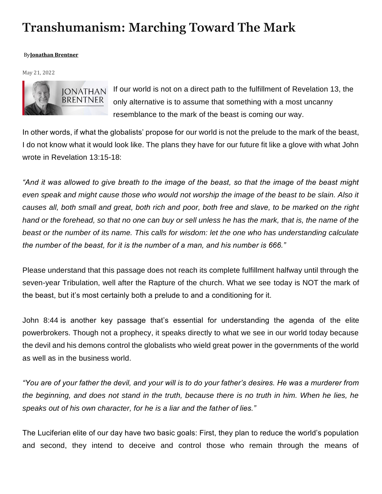## **[T](https://www.facebook.com/sharer.php?u=https%3A%2F%2Fharbingersdaily.com%2Ftranshumanism-marching-toward-the-mark%2F)ranshumanism: Marching Toward The Mark**

#### By**[Jonathan Brentner](https://harbingersdaily.com/author/jonathan-brentner/)**

May 21, 2022



If our world is not on a direct path to the fulfillment of Revelation 13, the only alternative is to assume that something with a most uncanny resemblance to the mark of the beast is coming our way.

In other words, if what the globalists' propose for our world is not the prelude to the mark of the beast, I do not know what it would look like. The plans they have for our future fit like a glove with what John wrote in [Revelation](https://biblia.com/bible/kjv1900/Rev%2013.15-18) 13:15-18:

*"And it was allowed to give breath to the image of the beast, so that the image of the beast might even speak and might cause those who would not worship the image of the beast to be slain. Also it causes all, both small and great, both rich and poor, both free and slave, to be marked on the right*  hand or the forehead, so that no one can buy or sell unless he has the mark, that is, the name of the *beast or the number of its name. This calls for wisdom: let the one who has understanding calculate the number of the beast, for it is the number of a man, and his number is 666."*

Please understand that this passage does not reach its complete fulfillment halfway until through the seven-year Tribulation, well after the Rapture of the church. What we see today is NOT the mark of the beast, but it's most certainly both a prelude to and a conditioning for it.

[John 8:44](https://biblia.com/bible/kjv1900/John%208.44) is another key passage that's essential for understanding the agenda of the elite powerbrokers. Though not a prophecy, it speaks directly to what we see in our world today because the devil and his demons control the globalists who wield great power in the governments of the world as well as in the business world.

*"You are of your father the devil, and your will is to do your father's desires. He was a murderer from the beginning, and does not stand in the truth, because there is no truth in him. When he lies, he speaks out of his own character, for he is a liar and the father of lies."*

The Luciferian elite of our day have two basic goals: First, they plan to reduce the world's population and second, they intend to deceive and control those who remain through the means of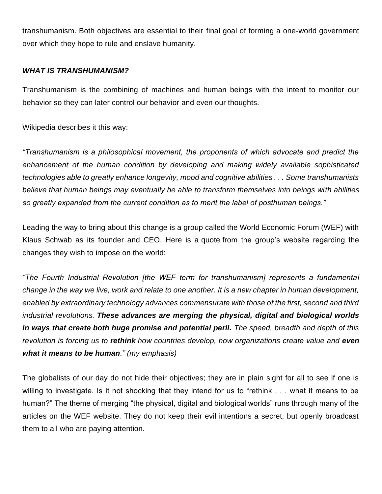transhumanism. Both objectives are essential to their final goal of forming a one-world government over which they hope to rule and enslave humanity.

#### *WHAT IS TRANSHUMANISM?*

Transhumanism is the combining of machines and human beings with the intent to monitor our behavior so they can later control our behavior and even our thoughts.

Wikipedia [describes](https://en.wikipedia.org/wiki/Transhumanism) it this way:

*"Transhumanism is a philosophical movement, the proponents of which advocate and predict the enhancement of the human condition by developing and making widely available sophisticated technologies able to greatly enhance longevity, mood and cognitive abilities . . . Some transhumanists believe that human beings may eventually be able to transform themselves into beings with abilities so greatly expanded from the current condition as to merit the label of posthuman beings."*

Leading the way to bring about this change is a group called the World Economic Forum (WEF) with Klaus Schwab as its founder and CEO. Here is a [quote](https://www.weforum.org/focus/fourth-industrial-revolution) from the group's website regarding the changes they wish to impose on the world:

*"The Fourth Industrial Revolution [the WEF term for transhumanism] represents a fundamental change in the way we live, work and relate to one another. It is a new chapter in human development, enabled by extraordinary technology advances commensurate with those of the first, second and third industrial revolutions. These advances are merging the physical, digital and biological worlds in ways that create both huge promise and potential peril. The speed, breadth and depth of this revolution is forcing us to rethink how countries develop, how organizations create value and even what it means to be human." (my emphasis)*

The globalists of our day do not hide their objectives; they are in plain sight for all to see if one is willing to investigate. Is it not shocking that they intend for us to "rethink . . . what it means to be human?" The theme of merging "the physical, digital and biological worlds" runs through many of the articles on the WEF website. They do not keep their evil intentions a secret, but openly broadcast them to all who are paying attention.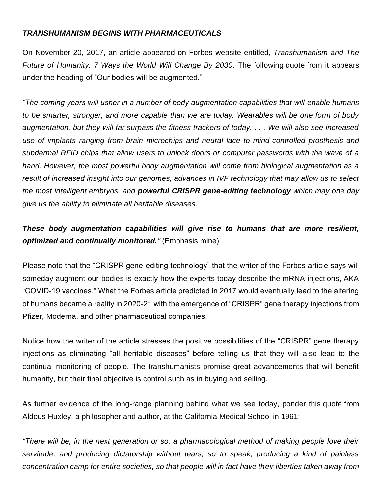### *TRANSHUMANISM BEGINS WITH PHARMACEUTICALS*

On November 20, 2017, an article appeared on Forbes website entitled, *Transhumanism and The Future of Humanity: 7 Ways the World Will Change By 2030*. The following [quote](https://www.forbes.com/sites/sarwantsingh/2017/11/20/transhumanism-and-the-future-of-humanity-seven-ways-the-world-will-change-by-2030/?sh=35b71a4d7d79) from it appears under the heading of "Our bodies will be augmented."

*"The coming years will usher in a number of body augmentation capabilities that will enable humans to be smarter, stronger, and more capable than we are today. Wearables will be one form of body augmentation, but they will far surpass the fitness trackers of today. . . . We will also see increased use of implants ranging from brain microchips and neural lace to mind-controlled prosthesis and subdermal RFID chips that allow users to unlock doors or computer passwords with the wave of a hand. However, the most powerful body augmentation will come from biological augmentation as a result of increased insight into our genomes, advances in IVF technology that may allow us to select the most intelligent embryos, and powerful CRISPR gene-editing technology which may one day give us the ability to eliminate all heritable diseases.*

## *These body augmentation capabilities will give rise to humans that are more resilient, optimized and continually monitored."* (Emphasis mine)

Please note that the "CRISPR gene-editing technology" that the writer of the Forbes article says will someday augment our bodies is exactly how the experts today describe the mRNA injections, AKA "COVID-19 vaccines." What the Forbes article predicted in 2017 would eventually lead to the altering of humans became a reality in 2020-21 with the emergence of "CRISPR" gene therapy injections from Pfizer, Moderna, and other pharmaceutical companies.

Notice how the writer of the article stresses the positive possibilities of the "CRISPR" gene therapy injections as eliminating "all heritable diseases" before telling us that they will also lead to the continual monitoring of people. The transhumanists promise great advancements that will benefit humanity, but their final objective is control such as in buying and selling.

As further evidence of the long-range planning behind what we see today, ponder this [quote](https://ahrp.org/1961-aldous-huxleys-eerie-prediction-at-tavistock-group-california-medical-school/) from Aldous Huxley, a philosopher and author, at the California Medical School in 1961:

*"There will be, in the next generation or so, a pharmacological method of making people love their servitude, and producing dictatorship without tears, so to speak, producing a kind of painless concentration camp for entire societies, so that people will in fact have their liberties taken away from*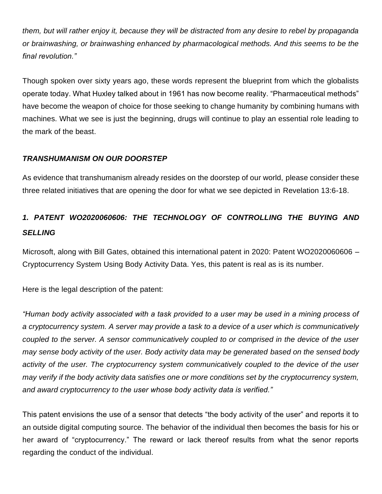*them, but will rather enjoy it, because they will be distracted from any desire to rebel by propaganda or brainwashing, or brainwashing enhanced by pharmacological methods. And this seems to be the final revolution."*

Though spoken over sixty years ago, these words represent the blueprint from which the globalists operate today. What Huxley talked about in 1961 has now become reality. "Pharmaceutical methods" have become the weapon of choice for those seeking to change humanity by combining humans with machines. What we see is just the beginning, drugs will continue to play an essential role leading to the mark of the beast.

### *TRANSHUMANISM ON OUR DOORSTEP*

As evidence that transhumanism already resides on the doorstep of our world, please consider these three related initiatives that are opening the door for what we see depicted in [Revelation 13:6-18.](https://biblia.com/bible/kjv1900/Rev%2013.6-18)

## *1. PATENT WO2020060606: THE TECHNOLOGY OF CONTROLLING THE BUYING AND SELLING*

Microsoft, along with Bill Gates, obtained this international patent in 2020: Patent WO2020060606 – Cryptocurrency System Using Body Activity Data. Yes, this patent is real as is its number.

Here is the [legal description](https://patentscope2.wipo.int/search/en/detail.jsf?docId=WO2020060606&tab=PCTBIBLIO) of the patent:

*"Human body activity associated with a task provided to a user may be used in a mining process of a cryptocurrency system. A server may provide a task to a device of a user which is communicatively coupled to the server. A sensor communicatively coupled to or comprised in the device of the user may sense body activity of the user. Body activity data may be generated based on the sensed body activity of the user. The cryptocurrency system communicatively coupled to the device of the user may verify if the body activity data satisfies one or more conditions set by the cryptocurrency system, and award cryptocurrency to the user whose body activity data is verified."*

This patent envisions the use of a sensor that detects "the body activity of the user" and reports it to an outside digital computing source. The behavior of the individual then becomes the basis for his or her award of "cryptocurrency." The reward or lack thereof results from what the senor reports regarding the conduct of the individual.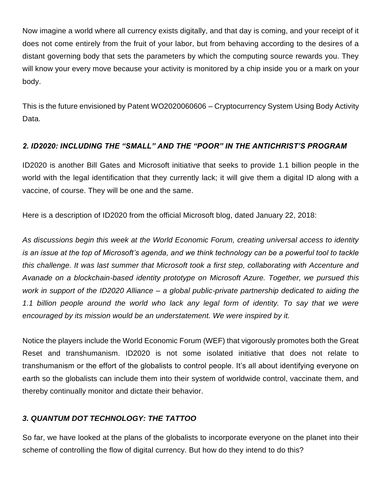Now imagine a world where all currency exists digitally, and that day is coming, and your receipt of it does not come entirely from the fruit of your labor, but from behaving according to the desires of a distant governing body that sets the parameters by which the computing source rewards you. They will know your every move because your activity is monitored by a chip inside you or a mark on your body.

This is the future envisioned by Patent WO2020060606 – Cryptocurrency System Using Body Activity Data.

### *2. ID2020: INCLUDING THE "SMALL" AND THE "POOR" IN THE ANTICHRIST'S PROGRAM*

ID2020 is another Bill Gates and Microsoft initiative that seeks to provide 1.1 billion people in the world with the legal identification that they currently lack; it will give them a digital ID along with a vaccine, of course. They will be one and the same.

Here is a [description](https://blogs.microsoft.com/blog/2018/01/22/partnering-for-a-path-to-digital-identity/) of ID2020 from the official Microsoft blog, dated January 22, 2018:

*As discussions begin this week at the World Economic Forum, creating universal access to identity is an issue at the top of Microsoft's agenda, and we think technology can be a powerful tool to tackle this challenge. It was last summer that Microsoft took a first step, collaborating with Accenture and Avanade on a blockchain-based identity prototype on Microsoft Azure. Together, we pursued this work in support of the ID2020 Alliance – a global public-private partnership dedicated to aiding the 1.1 billion people around the world who lack any legal form of identity. To say that we were encouraged by its mission would be an understatement. We were inspired by it.*

Notice the players include the World Economic Forum (WEF) that vigorously promotes both the Great Reset and transhumanism. ID2020 is not some isolated initiative that does not relate to transhumanism or the effort of the globalists to control people. It's all about identifying everyone on earth so the globalists can include them into their system of worldwide control, vaccinate them, and thereby continually monitor and dictate their behavior.

## *3. QUANTUM DOT TECHNOLOGY: THE TATTOO*

So far, we have looked at the plans of the globalists to incorporate everyone on the planet into their scheme of controlling the flow of digital currency. But how do they intend to do this?